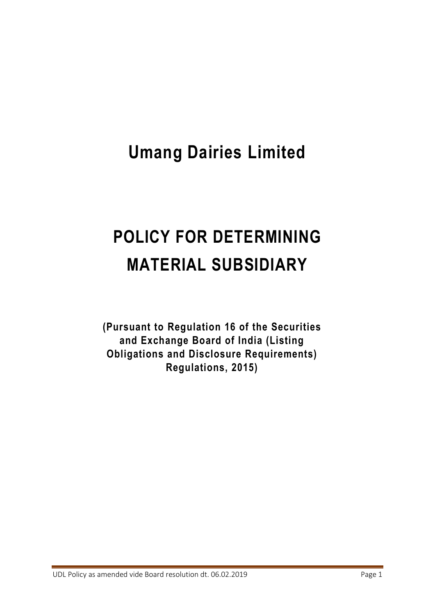## **Umang Dairies Limited**

# **POLICY FOR DETERMINING MATERIAL SUBSIDIARY**

**(Pursuant to Regulation 16 of the Securities and Exchange Board of India (Listing Obligations and Disclosure Requirements) Regulations, 2015)**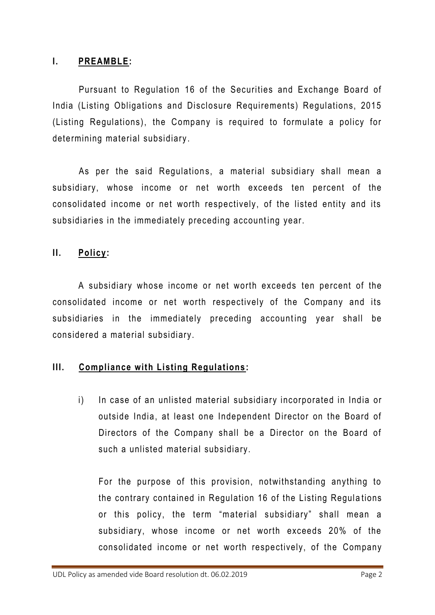#### **I. PREAMBLE:**

Pursuant to Regulation 16 of the Securities and Exchange Board of India (Listing Obligations and Disclosure Requirements) Regulations, 2015 (Listing Regulations), the Company is required to formulate a policy for determining material subsidiary .

As per the said Regulations, a material subsidiary shall mean a subsidiary, whose income or net worth exceeds ten percent of the consolidated income or net worth respectively, of the listed entity and its subsidiaries in the immediately preceding accounting year.

#### **II. Policy:**

A subsidiary whose income or net worth exceeds ten percent of the consolidated income or net worth respectively of the Company and its subsidiaries in the immediately preceding accounting year shall be considered a material subsidiary.

#### **III. Compliance with Listing Regulations :**

i) In case of an unlisted material subsidiary incorporated in India or outside India, at least one Independent Director on the Board of Directors of the Company shall be a Director on the Board of such a unlisted material subsidiary.

For the purpose of this provision, notwithstanding anything to the contrary contained in Regulation 16 of the Listing Regula tions or this policy, the term "material subsidiary" shall mean a subsidiary, whose income or net worth exceeds 20% of the consolidated income or net worth respectively, of the Company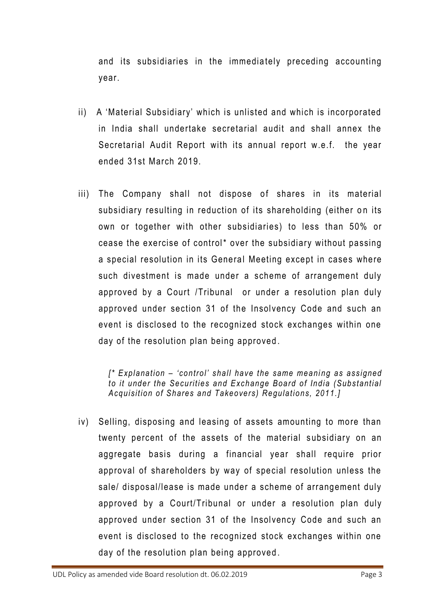and its subsidiaries in the immediately preceding accounting year.

- ii) A 'Material Subsidiary' which is unlisted and which is incorporated in India shall undertake secretarial audit and shall annex the Secretarial Audit Report with its annual report w.e.f. the year ended 31st March 2019.
- iii) The Company shall not dispose of shares in its material subsidiary resulting in reduction of its shareholding (either on its own or together with other subsidiaries) to less than 50% or cease the exercise of control\* over the subsidiary without passing a special resolution in its General Meeting except in cases where such divestment is made under a scheme of arrangement duly approved by a Court /Tribunal or under a resolution plan duly approved under section 31 of the Insolvency Code and such an event is disclosed to the recognized stock exchanges within one day of the resolution plan being approved .

*[\* Explanation – 'control' shall have the same meani ng as assigned to it under the Securities and Exchange Board of India (Substantial Acquisition of Shares and Takeovers) Regulations, 2011.]* 

iv) Selling, disposing and leasing of assets amounting to more than twenty percent of the assets of the material subsidiary on an aggregate basis during a financial year shall require prior approval of shareholders by way of special resolution unless the sale/ disposal/lease is made under a scheme of arrangement duly approved by a Court/Tribunal or under a resolution plan duly approved under section 31 of the Insolvency Code and such an event is disclosed to the recognized stock exchanges within one day of the resolution plan being approved .